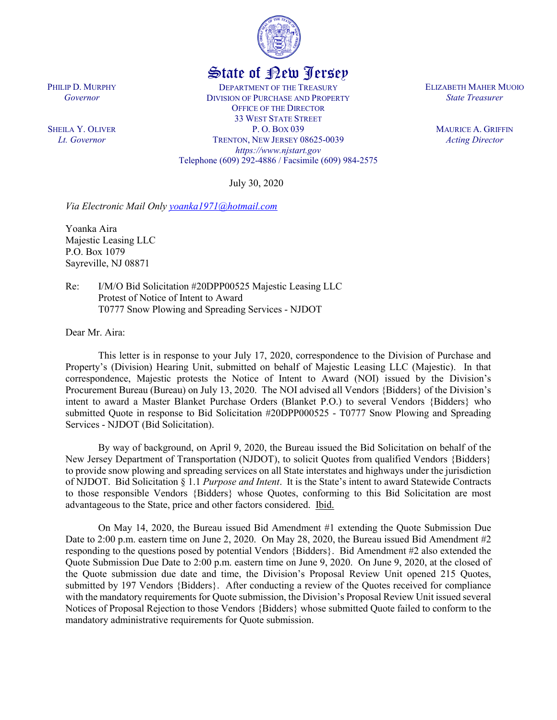

# State of New Jersey

DEPARTMENT OF THE TREASURY DIVISION OF PURCHASE AND PROPERTY OFFICE OF THE DIRECTOR 33 WEST STATE STREET P. O. BOX 039 TRENTON, NEW JERSEY 08625-0039 *https://www.njstart.gov* Telephone (609) 292-4886 / Facsimile (609) 984-2575

July 30, 2020

*Via Electronic Mail Only [yoanka1971@hotmail.com](mailto:yoanka1971@hotmail.com)*

Yoanka Aira Majestic Leasing LLC P.O. Box 1079 Sayreville, NJ 08871

PHILIP D. MURPHY *Governor*

SHEILA Y. OLIVER *Lt. Governor*

> Re: I/M/O Bid Solicitation #20DPP00525 Majestic Leasing LLC Protest of Notice of Intent to Award T0777 Snow Plowing and Spreading Services - NJDOT

Dear Mr. Aira:

This letter is in response to your July 17, 2020, correspondence to the Division of Purchase and Property's (Division) Hearing Unit, submitted on behalf of Majestic Leasing LLC (Majestic). In that correspondence, Majestic protests the Notice of Intent to Award (NOI) issued by the Division's Procurement Bureau (Bureau) on July 13, 2020. The NOI advised all Vendors {Bidders} of the Division's intent to award a Master Blanket Purchase Orders (Blanket P.O.) to several Vendors {Bidders} who submitted Quote in response to Bid Solicitation #20DPP000525 - T0777 Snow Plowing and Spreading Services - NJDOT (Bid Solicitation).

By way of background, on April 9, 2020, the Bureau issued the Bid Solicitation on behalf of the New Jersey Department of Transportation (NJDOT), to solicit Quotes from qualified Vendors {Bidders} to provide snow plowing and spreading services on all State interstates and highways under the jurisdiction of NJDOT. Bid Solicitation § 1.1 *Purpose and Intent*. It is the State's intent to award Statewide Contracts to those responsible Vendors {Bidders} whose Quotes, conforming to this Bid Solicitation are most advantageous to the State, price and other factors considered. Ibid.

On May 14, 2020, the Bureau issued Bid Amendment #1 extending the Quote Submission Due Date to 2:00 p.m. eastern time on June 2, 2020. On May 28, 2020, the Bureau issued Bid Amendment #2 responding to the questions posed by potential Vendors {Bidders}. Bid Amendment #2 also extended the Quote Submission Due Date to 2:00 p.m. eastern time on June 9, 2020. On June 9, 2020, at the closed of the Quote submission due date and time, the Division's Proposal Review Unit opened 215 Quotes, submitted by 197 Vendors {Bidders}. After conducting a review of the Quotes received for compliance with the mandatory requirements for Quote submission, the Division's Proposal Review Unit issued several Notices of Proposal Rejection to those Vendors {Bidders} whose submitted Quote failed to conform to the mandatory administrative requirements for Quote submission.

ELIZABETH MAHER MUOIO *State Treasurer*

> MAURICE A. GRIFFIN *Acting Director*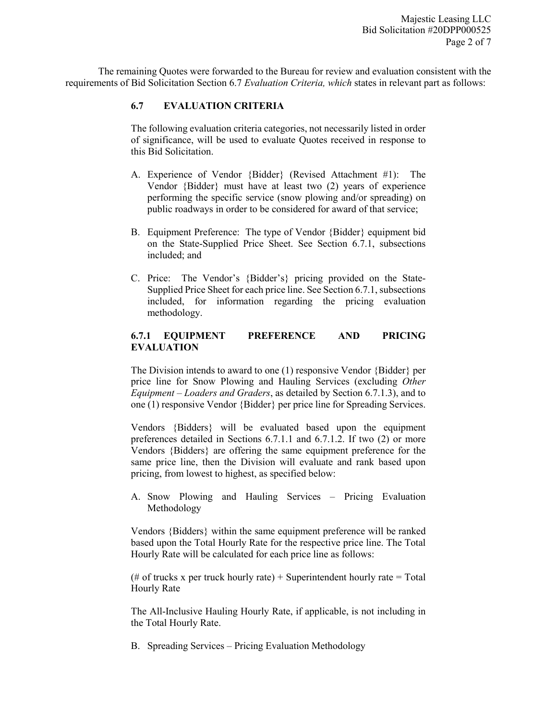The remaining Quotes were forwarded to the Bureau for review and evaluation consistent with the requirements of Bid Solicitation Section 6.7 *Evaluation Criteria, which* states in relevant part as follows:

## **6.7 EVALUATION CRITERIA**

The following evaluation criteria categories, not necessarily listed in order of significance, will be used to evaluate Quotes received in response to this Bid Solicitation.

- A. Experience of Vendor {Bidder} (Revised Attachment #1): The Vendor {Bidder} must have at least two (2) years of experience performing the specific service (snow plowing and/or spreading) on public roadways in order to be considered for award of that service;
- B. Equipment Preference: The type of Vendor {Bidder} equipment bid on the State-Supplied Price Sheet. See Section 6.7.1, subsections included; and
- C. Price: The Vendor's {Bidder's} pricing provided on the State-Supplied Price Sheet for each price line. See Section 6.7.1, subsections included, for information regarding the pricing evaluation methodology.

#### **6.7.1 EQUIPMENT PREFERENCE AND PRICING EVALUATION**

The Division intends to award to one (1) responsive Vendor {Bidder} per price line for Snow Plowing and Hauling Services (excluding *Other Equipment – Loaders and Graders*, as detailed by Section 6.7.1.3), and to one (1) responsive Vendor {Bidder} per price line for Spreading Services.

Vendors {Bidders} will be evaluated based upon the equipment preferences detailed in Sections 6.7.1.1 and 6.7.1.2. If two (2) or more Vendors {Bidders} are offering the same equipment preference for the same price line, then the Division will evaluate and rank based upon pricing, from lowest to highest, as specified below:

A. Snow Plowing and Hauling Services – Pricing Evaluation Methodology

Vendors {Bidders} within the same equipment preference will be ranked based upon the Total Hourly Rate for the respective price line. The Total Hourly Rate will be calculated for each price line as follows:

(# of trucks x per truck hourly rate) + Superintendent hourly rate = Total Hourly Rate

The All-Inclusive Hauling Hourly Rate, if applicable, is not including in the Total Hourly Rate.

B. Spreading Services – Pricing Evaluation Methodology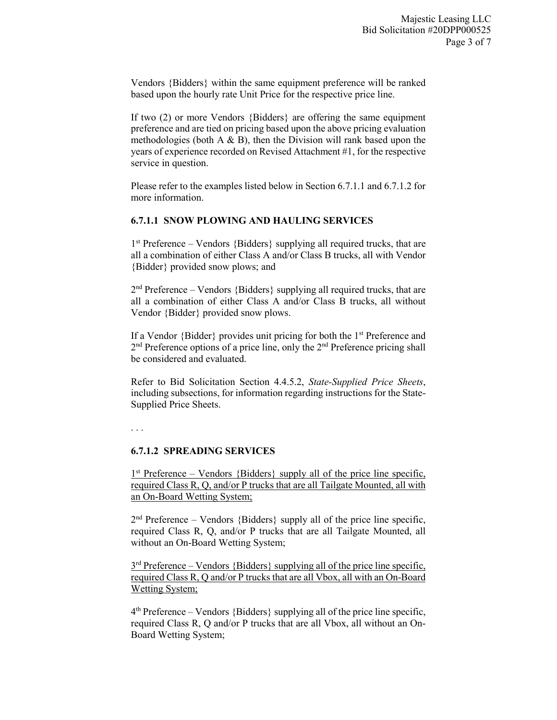Vendors {Bidders} within the same equipment preference will be ranked based upon the hourly rate Unit Price for the respective price line.

If two (2) or more Vendors {Bidders} are offering the same equipment preference and are tied on pricing based upon the above pricing evaluation methodologies (both  $A \& B$ ), then the Division will rank based upon the years of experience recorded on Revised Attachment #1, for the respective service in question.

Please refer to the examples listed below in Section 6.7.1.1 and 6.7.1.2 for more information.

#### **6.7.1.1 SNOW PLOWING AND HAULING SERVICES**

1st Preference – Vendors {Bidders} supplying all required trucks, that are all a combination of either Class A and/or Class B trucks, all with Vendor {Bidder} provided snow plows; and

 $2<sup>nd</sup>$  Preference – Vendors {Bidders} supplying all required trucks, that are all a combination of either Class A and/or Class B trucks, all without Vendor {Bidder} provided snow plows.

If a Vendor {Bidder} provides unit pricing for both the 1st Preference and  $2<sup>nd</sup>$  Preference options of a price line, only the  $2<sup>nd</sup>$  Preference pricing shall be considered and evaluated.

Refer to Bid Solicitation Section 4.4.5.2, *State-Supplied Price Sheets*, including subsections, for information regarding instructions for the State-Supplied Price Sheets.

. . .

### **6.7.1.2 SPREADING SERVICES**

 $1<sup>st</sup>$  Preference – Vendors {Bidders} supply all of the price line specific, required Class R, Q, and/or P trucks that are all Tailgate Mounted, all with an On-Board Wetting System;

 $2<sup>nd</sup>$  Preference – Vendors {Bidders} supply all of the price line specific, required Class R, Q, and/or P trucks that are all Tailgate Mounted, all without an On-Board Wetting System;

 $3<sup>rd</sup>$  Preference – Vendors {Bidders} supplying all of the price line specific, required Class R, Q and/or P trucks that are all Vbox, all with an On-Board Wetting System;

 $4<sup>th</sup>$  Preference – Vendors {Bidders} supplying all of the price line specific, required Class R, Q and/or P trucks that are all Vbox, all without an On-Board Wetting System;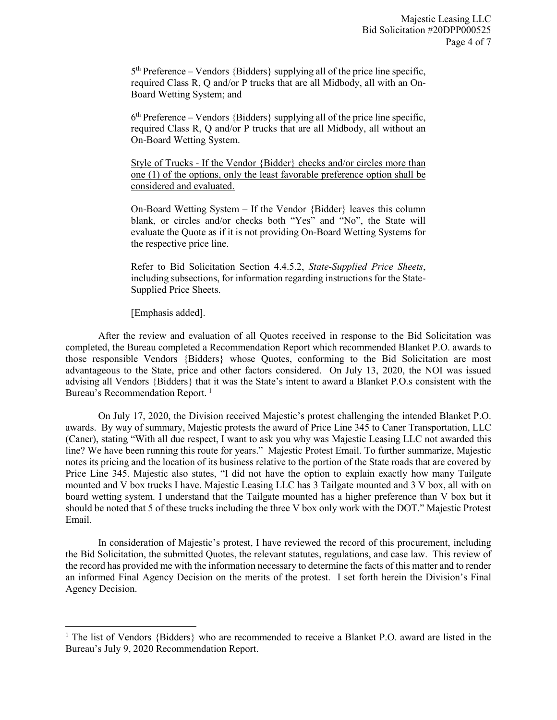$5<sup>th</sup>$  Preference – Vendors {Bidders} supplying all of the price line specific, required Class R, Q and/or P trucks that are all Midbody, all with an On-Board Wetting System; and

 $6<sup>th</sup>$  Preference – Vendors {Bidders} supplying all of the price line specific, required Class R, Q and/or P trucks that are all Midbody, all without an On-Board Wetting System.

Style of Trucks - If the Vendor {Bidder} checks and/or circles more than one (1) of the options, only the least favorable preference option shall be considered and evaluated.

On-Board Wetting System – If the Vendor {Bidder} leaves this column blank, or circles and/or checks both "Yes" and "No", the State will evaluate the Quote as if it is not providing On-Board Wetting Systems for the respective price line.

Refer to Bid Solicitation Section 4.4.5.2, *State-Supplied Price Sheets*, including subsections, for information regarding instructions for the State-Supplied Price Sheets.

[Emphasis added].

l

After the review and evaluation of all Quotes received in response to the Bid Solicitation was completed, the Bureau completed a Recommendation Report which recommended Blanket P.O. awards to those responsible Vendors {Bidders} whose Quotes, conforming to the Bid Solicitation are most advantageous to the State, price and other factors considered. On July 13, 2020, the NOI was issued advising all Vendors {Bidders} that it was the State's intent to award a Blanket P.O.s consistent with the Bureau's Recommendation Report.<sup>[1](#page-3-0)</sup>

On July 17, 2020, the Division received Majestic's protest challenging the intended Blanket P.O. awards. By way of summary, Majestic protests the award of Price Line 345 to Caner Transportation, LLC (Caner), stating "With all due respect, I want to ask you why was Majestic Leasing LLC not awarded this line? We have been running this route for years." Majestic Protest Email. To further summarize, Majestic notes its pricing and the location of its business relative to the portion of the State roads that are covered by Price Line 345. Majestic also states, "I did not have the option to explain exactly how many Tailgate mounted and V box trucks I have. Majestic Leasing LLC has 3 Tailgate mounted and 3 V box, all with on board wetting system. I understand that the Tailgate mounted has a higher preference than V box but it should be noted that 5 of these trucks including the three V box only work with the DOT." Majestic Protest Email.

In consideration of Majestic's protest, I have reviewed the record of this procurement, including the Bid Solicitation, the submitted Quotes, the relevant statutes, regulations, and case law. This review of the record has provided me with the information necessary to determine the facts of this matter and to render an informed Final Agency Decision on the merits of the protest. I set forth herein the Division's Final Agency Decision.

<span id="page-3-0"></span><sup>&</sup>lt;sup>1</sup> The list of Vendors {Bidders} who are recommended to receive a Blanket P.O. award are listed in the Bureau's July 9, 2020 Recommendation Report.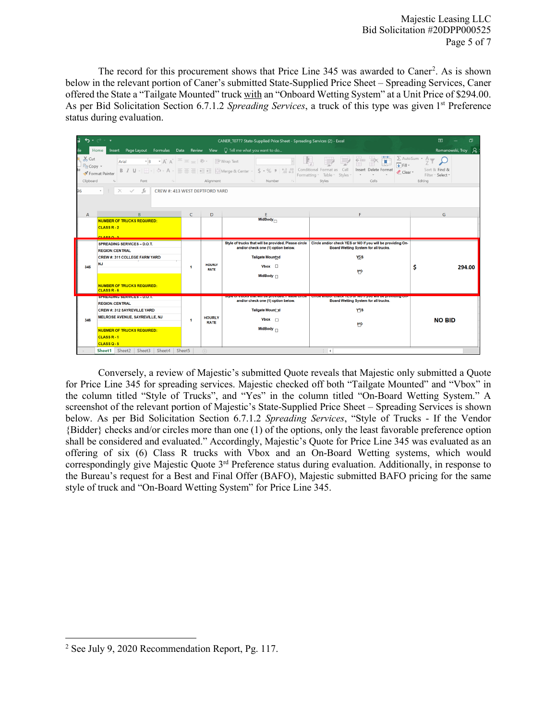The record for this procurement shows that Price Line 345 was awarded to Caner<sup>[2](#page-4-0)</sup>. As is shown below in the relevant portion of Caner's submitted State-Supplied Price Sheet – Spreading Services, Caner offered the State a "Tailgate Mounted" truck with an "Onboard Wetting System" at a Unit Price of \$294.00. As per Bid Solicitation Section 6.7.1.2 *Spreading Services*, a truck of this type was given 1<sup>st</sup> Preference status during evaluation.

|                                                                                                                                                                                                                                                                                                                                                                                                                                                                                                                                                                                                                                                                                                                                                        | $\mathfrak{H} \bullet \mathfrak{S} \bullet \mathfrak{S} \bullet \mathfrak{S}$<br>CANER T0777 State-Supplied Price Sheet - Spreading Services (2) - Excel |                                                                                             |                      |                                 |                                                      |                                                                                                                                                           |                    |  |  |
|--------------------------------------------------------------------------------------------------------------------------------------------------------------------------------------------------------------------------------------------------------------------------------------------------------------------------------------------------------------------------------------------------------------------------------------------------------------------------------------------------------------------------------------------------------------------------------------------------------------------------------------------------------------------------------------------------------------------------------------------------------|----------------------------------------------------------------------------------------------------------------------------------------------------------|---------------------------------------------------------------------------------------------|----------------------|---------------------------------|------------------------------------------------------|-----------------------------------------------------------------------------------------------------------------------------------------------------------|--------------------|--|--|
|                                                                                                                                                                                                                                                                                                                                                                                                                                                                                                                                                                                                                                                                                                                                                        |                                                                                                                                                          | Insert Page Layout Formulas Data Review View $\bigcirc$ Tell me what you want to do<br>Home |                      |                                 |                                                      |                                                                                                                                                           | Romanowski, Troy Q |  |  |
| $\sum$ AutoSum $\cdot$ $\stackrel{\frown}{\uparrow}$<br>X <sub>cut</sub><br>Fri<br>$\mathbf{A} \cdot \mathbf{A} \cdot \mathbf{A} = \mathbf{A} \cdot \mathbf{A}$ $\mathbf{A} \cdot \mathbf{A} = \mathbf{A} \cdot \mathbf{A} \cdot \mathbf{A}$<br>Arial<br>$\overline{\bigtriangledown}$ Fill $\tau$<br><b>En Copy</b> -<br>Sort & Find &<br>Insert Delete Format<br>Clear *<br>Format Painter<br>Formatting * Table * Styles *<br>Filter - Select -<br>Alignment <b>Alignment</b><br>Clipboard<br>$\overline{\mathbb{Q}}$<br>Styles<br>Font<br>Number<br>Cells<br>Editina<br>the Control of the<br>$\overline{\mathbb{F}_2}$<br>$\cdot$ $\mid$ $\cdot$ $\mid$ $\times$ $\mid$ $\cdot$ $\mid$ $\mid$ $f_{x}$ $\mid$ CREW #: 413 WEST DEPTFORD YARD<br>96 |                                                                                                                                                          |                                                                                             |                      |                                 |                                                      |                                                                                                                                                           |                    |  |  |
|                                                                                                                                                                                                                                                                                                                                                                                                                                                                                                                                                                                                                                                                                                                                                        |                                                                                                                                                          |                                                                                             |                      |                                 |                                                      |                                                                                                                                                           |                    |  |  |
|                                                                                                                                                                                                                                                                                                                                                                                                                                                                                                                                                                                                                                                                                                                                                        | $\overline{A}$                                                                                                                                           | B                                                                                           | $\epsilon$           | D                               | E.                                                   | F                                                                                                                                                         | G                  |  |  |
|                                                                                                                                                                                                                                                                                                                                                                                                                                                                                                                                                                                                                                                                                                                                                        |                                                                                                                                                          | <b>NUMBER OF TRUCKS REQUIRED:</b><br>$CLASSR-2$<br><b>PLACE OF 3</b>                        |                      |                                 | MidBody-                                             |                                                                                                                                                           |                    |  |  |
|                                                                                                                                                                                                                                                                                                                                                                                                                                                                                                                                                                                                                                                                                                                                                        | 345                                                                                                                                                      | <b>SPREADING SERVICES - D.O.T.</b>                                                          | $\blacktriangleleft$ | <b>HOURLY</b><br><b>RATE</b>    | Style of trucks that will be provided. Please circle | Circle and/or check YES or NO if you will be providing On-                                                                                                |                    |  |  |
|                                                                                                                                                                                                                                                                                                                                                                                                                                                                                                                                                                                                                                                                                                                                                        |                                                                                                                                                          | <b>REGION:CENTRAL</b>                                                                       |                      |                                 | and/or check one (1) option below.                   | Board Wetting System for all trucks.                                                                                                                      |                    |  |  |
|                                                                                                                                                                                                                                                                                                                                                                                                                                                                                                                                                                                                                                                                                                                                                        |                                                                                                                                                          | CREW #: 311 COLLEGE FARM YARD                                                               |                      |                                 | Tailgate Mountad                                     | YF <sub>1</sub> S                                                                                                                                         |                    |  |  |
|                                                                                                                                                                                                                                                                                                                                                                                                                                                                                                                                                                                                                                                                                                                                                        |                                                                                                                                                          | <b>NJ</b>                                                                                   |                      |                                 | $V$ box $\Box$<br>MidBody $\sqcap$                   | MP                                                                                                                                                        | Ŝ<br>294.00        |  |  |
|                                                                                                                                                                                                                                                                                                                                                                                                                                                                                                                                                                                                                                                                                                                                                        |                                                                                                                                                          | <b>NUMBER OF TRUCKS REQUIRED:</b><br>CLASS <sub>R</sub> -6                                  |                      |                                 |                                                      |                                                                                                                                                           |                    |  |  |
|                                                                                                                                                                                                                                                                                                                                                                                                                                                                                                                                                                                                                                                                                                                                                        |                                                                                                                                                          | <b>ISBN 7400005376VIOLES INDUCED</b><br><b>REGION:CENTRAL</b>                               |                      |                                 | and/or check one (1) option below.                   | σιγισ οι αιασκε αιαι will be provided. Flease circle - oircle anu/or check +Eo or No.II you will be providing on-<br>Board Wetting System for all trucks. |                    |  |  |
|                                                                                                                                                                                                                                                                                                                                                                                                                                                                                                                                                                                                                                                                                                                                                        | 346                                                                                                                                                      | <b>CREW#: 312 SAYREVILLE YARD</b>                                                           | $\blacktriangleleft$ | <b>HOURLY</b><br><b>RATE</b>    | <b>Tailgate Moun</b> ⊓d                              | YFS                                                                                                                                                       |                    |  |  |
|                                                                                                                                                                                                                                                                                                                                                                                                                                                                                                                                                                                                                                                                                                                                                        |                                                                                                                                                          | MELROSE AVENUE, SAYREVILLE, NJ                                                              |                      |                                 | Vbox $\Box$                                          | <b>MD</b>                                                                                                                                                 | <b>NO BID</b>      |  |  |
|                                                                                                                                                                                                                                                                                                                                                                                                                                                                                                                                                                                                                                                                                                                                                        |                                                                                                                                                          | <b>NUBMER OF TRUCKS REQUIRED:</b>                                                           |                      |                                 | MidBody $\Box$                                       |                                                                                                                                                           |                    |  |  |
|                                                                                                                                                                                                                                                                                                                                                                                                                                                                                                                                                                                                                                                                                                                                                        |                                                                                                                                                          | CLASS <sub>R-1</sub><br>CLASSQ-5                                                            |                      |                                 |                                                      |                                                                                                                                                           |                    |  |  |
|                                                                                                                                                                                                                                                                                                                                                                                                                                                                                                                                                                                                                                                                                                                                                        |                                                                                                                                                          | Sheet1 Sheet2 Sheet3 Sheet4                                                                 | Sheet5               | $\rightarrow$<br>$\mathbb{Z}^+$ |                                                      |                                                                                                                                                           |                    |  |  |
|                                                                                                                                                                                                                                                                                                                                                                                                                                                                                                                                                                                                                                                                                                                                                        |                                                                                                                                                          |                                                                                             |                      | $(+)$                           |                                                      |                                                                                                                                                           |                    |  |  |

Conversely, a review of Majestic's submitted Quote reveals that Majestic only submitted a Quote for Price Line 345 for spreading services. Majestic checked off both "Tailgate Mounted" and "Vbox" in the column titled "Style of Trucks", and "Yes" in the column titled "On-Board Wetting System." A screenshot of the relevant portion of Majestic's State-Supplied Price Sheet – Spreading Services is shown below. As per Bid Solicitation Section 6.7.1.2 *Spreading Services*, "Style of Trucks - If the Vendor {Bidder} checks and/or circles more than one (1) of the options, only the least favorable preference option shall be considered and evaluated." Accordingly, Majestic's Quote for Price Line 345 was evaluated as an offering of six (6) Class R trucks with Vbox and an On-Board Wetting systems, which would correspondingly give Majestic Quote 3rd Preference status during evaluation. Additionally, in response to the Bureau's request for a Best and Final Offer (BAFO), Majestic submitted BAFO pricing for the same style of truck and "On-Board Wetting System" for Price Line 345.

<span id="page-4-0"></span>l <sup>2</sup> See July 9, 2020 Recommendation Report, Pg. 117.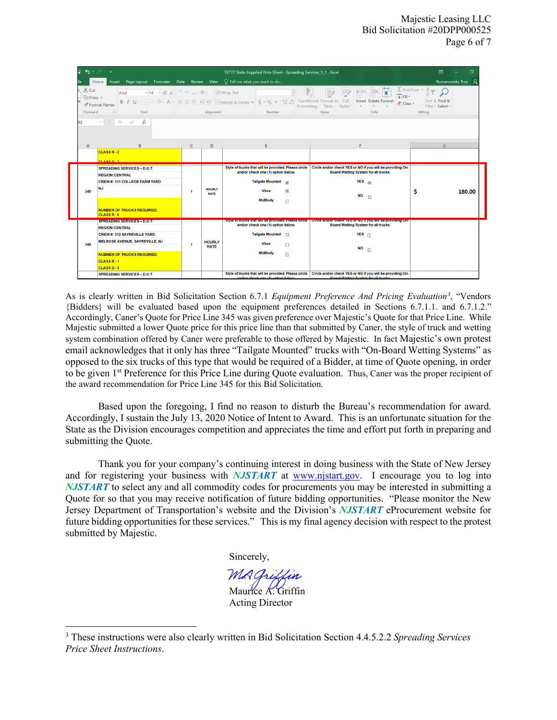| 6.7.7<br>困<br>T0777 State-Supplied Price Sheet - Spreading Services_1_1 - Excel<br>Insert Page Layout Formulas Data Review View $\bigcirc$ Tell me what you want to do<br>Romanowski, Troy<br>Home<br>$X0$ Cut<br>$\sum$ AutoSum $\star$ $\stackrel{\Delta}{\rightarrow}$<br>ij<br>Ë<br>▼ 14 → $A^*$ $A^*$ $\equiv \equiv \equiv \gg$ $\sim$ $\approx$ $\approx$ Wrap Text<br>$\Rightarrow$<br>Arial<br>$\overline{\downarrow}$ Fill $\sim$<br>En Copy +<br><b>B</b> $I \cup \cdot  \cdot $ $\rightarrow$ $\land \cdot$ A $\cdot  \equiv \equiv \equiv  \cdot \equiv \cdot $ $\Box$ Merge & Center $\cdot  $ $\Diamond \cdot \%$ $\rightarrow  $ $\stackrel{6.0}{\ldots}$ $\stackrel{0.0}{\ldots}$ Conditional Format as Cell<br>Insert Delete Format<br>Sort & Find &<br>Clear *<br>Format Painter<br>Formatting * Table * Styles *<br>Filter - Select + |                                                                                                                                                                                                                                                                                                                                                                                              |                      |                              |                                                                                                                                                                                                      |                                                                                                                                                                                        |        |  |  |  |  |
|-----------------------------------------------------------------------------------------------------------------------------------------------------------------------------------------------------------------------------------------------------------------------------------------------------------------------------------------------------------------------------------------------------------------------------------------------------------------------------------------------------------------------------------------------------------------------------------------------------------------------------------------------------------------------------------------------------------------------------------------------------------------------------------------------------------------------------------------------------------|----------------------------------------------------------------------------------------------------------------------------------------------------------------------------------------------------------------------------------------------------------------------------------------------------------------------------------------------------------------------------------------------|----------------------|------------------------------|------------------------------------------------------------------------------------------------------------------------------------------------------------------------------------------------------|----------------------------------------------------------------------------------------------------------------------------------------------------------------------------------------|--------|--|--|--|--|
| 92                                                                                                                                                                                                                                                                                                                                                                                                                                                                                                                                                                                                                                                                                                                                                                                                                                                        | <b>Example 2018 Alignment</b> Alignment <b>Contract Contract Contract Contract Contract Contract Contract Contract Contract Contract Contract Contract Contract Contract Contract Contract Contract Contract Contract Contract Cont</b><br>Clipboard<br>Styles<br>$\overline{\mathbb{F}_2}$ .<br>Font<br>Number<br>Cells<br>Editing<br>$\overline{12}$<br>$\cdot$ : $\times$ $\checkmark$ fx |                      |                              |                                                                                                                                                                                                      |                                                                                                                                                                                        |        |  |  |  |  |
| $\mathsf{A}$                                                                                                                                                                                                                                                                                                                                                                                                                                                                                                                                                                                                                                                                                                                                                                                                                                              | B                                                                                                                                                                                                                                                                                                                                                                                            | C                    | D                            | F.                                                                                                                                                                                                   | F                                                                                                                                                                                      | G      |  |  |  |  |
|                                                                                                                                                                                                                                                                                                                                                                                                                                                                                                                                                                                                                                                                                                                                                                                                                                                           | $CLASSR-2$<br>0.00003                                                                                                                                                                                                                                                                                                                                                                        |                      |                              |                                                                                                                                                                                                      |                                                                                                                                                                                        |        |  |  |  |  |
| 345                                                                                                                                                                                                                                                                                                                                                                                                                                                                                                                                                                                                                                                                                                                                                                                                                                                       | <b>SPREADING SERVICES - D.O.T.</b><br><b>REGION:CENTRAL</b><br><b>CREW#: 311 COLLEGE FARM YARD</b><br><b>NJ</b><br><b>NUMBER OF TRUCKS REQUIRED:</b><br>CLASS <sub>R-6</sub>                                                                                                                                                                                                                 | $\blacktriangleleft$ | <b>HOURLY</b><br><b>RATE</b> | Style of trucks that will be provided. Please circle<br>and/or check one (1) option below.<br><b>Tailgate Mounted</b><br>$\overline{v}$<br>$\overline{v}$<br><b>Vbox</b><br><b>MidBody</b><br>$\Box$ | Circle and/or check YES or NO if you will be providing On-<br>Board Wetting System for all trucks.<br>YES<br><b>NO</b><br>$\Box$                                                       | 180.00 |  |  |  |  |
| 346                                                                                                                                                                                                                                                                                                                                                                                                                                                                                                                                                                                                                                                                                                                                                                                                                                                       | SPREADING SERVICES = DIO.T.<br><b>REGION:CENTRAL</b><br><b>CREW #: 312 SAYREVILLE YARD</b><br>MELROSE AVENUE, SAYREVILLE, NJ<br><b>NUBMER OF TRUCKS REQUIRED:</b><br>CLASS <sub>R-1</sub><br>$CLASSO-5$                                                                                                                                                                                      | 1                    | <b>HOURLY</b><br><b>RATE</b> | and/or check one (1) option below.<br>Tailgate Mounted n<br><b>Vbox</b><br>$\Box$<br><b>MidBody</b><br>$\Box$                                                                                        | Style of trucks that will be provided. Please circle in Circle and/or check TES of NOTPyou will be providing On-<br>Board Wetting System for all trucks.<br>YES<br><b>NO</b><br>$\Box$ |        |  |  |  |  |
|                                                                                                                                                                                                                                                                                                                                                                                                                                                                                                                                                                                                                                                                                                                                                                                                                                                           | <b>SPREADING SERVICES - D.O.T.</b>                                                                                                                                                                                                                                                                                                                                                           |                      |                              | Style of trucks that will be provided. Please circle<br>andler shook one (4) onlian holess                                                                                                           | Circle and/or check YES or NO if you will be providing On-<br>Donal Walling Custom for all frustes                                                                                     |        |  |  |  |  |

As is clearly written in Bid Solicitation Section 6.7.1 *Equipment Preference And Pricing Evaluation[3](#page-5-0)* , "Vendors {Bidders} will be evaluated based upon the equipment preferences detailed in Sections 6.7.1.1. and 6.7.1.2." Accordingly, Caner's Quote for Price Line 345 was given preference over Majestic's Quote for that Price Line. While Majestic submitted a lower Quote price for this price line than that submitted by Caner, the style of truck and wetting system combination offered by Caner were preferable to those offered by Majestic. In fact Majestic's own protest email acknowledges that it only has three "Tailgate Mounted" trucks with "On-Board Wetting Systems" as opposed to the six trucks of this type that would be required of a Bidder, at time of Quote opening, in order to be given 1st Preference for this Price Line during Quote evaluation. Thus, Caner was the proper recipient of the award recommendation for Price Line 345 for this Bid Solicitation.

Based upon the foregoing, I find no reason to disturb the Bureau's recommendation for award. Accordingly, I sustain the July 13, 2020 Notice of Intent to Award. This is an unfortunate situation for the State as the Division encourages competition and appreciates the time and effort put forth in preparing and submitting the Quote.

Thank you for your company's continuing interest in doing business with the State of New Jersey and for registering your business with *NJSTART* at [www.njstart.gov.](http://www.njstart.gov/) I encourage you to log into *NJSTART* to select any and all commodity codes for procurements you may be interested in submitting a Quote for so that you may receive notification of future bidding opportunities. "Please monitor the New Jersey Department of Transportation's website and the Division's *NJSTART* eProcurement website for future bidding opportunities for these services." This is my final agency decision with respect to the protest submitted by Majestic.

Sincerely,

l

Maurice A. Griffin Acting Director

<span id="page-5-0"></span><sup>3</sup> These instructions were also clearly written in Bid Solicitation Section 4.4.5.2.2 *Spreading Services Price Sheet Instructions*.